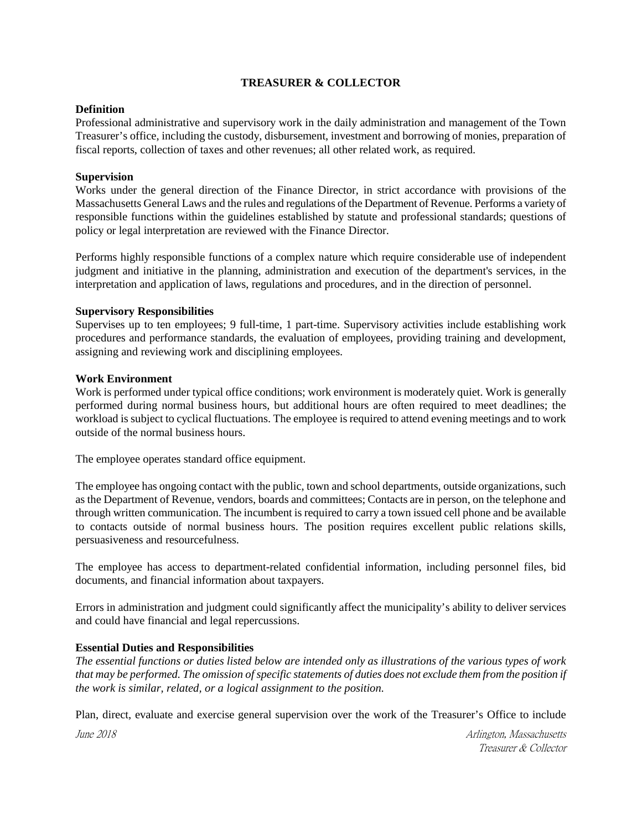## **TREASURER & COLLECTOR**

# **Definition**

Professional administrative and supervisory work in the daily administration and management of the Town Treasurer's office, including the custody, disbursement, investment and borrowing of monies, preparation of fiscal reports, collection of taxes and other revenues; all other related work, as required.

## **Supervision**

Works under the general direction of the Finance Director, in strict accordance with provisions of the Massachusetts General Laws and the rules and regulations of the Department of Revenue. Performs a variety of responsible functions within the guidelines established by statute and professional standards; questions of policy or legal interpretation are reviewed with the Finance Director.

Performs highly responsible functions of a complex nature which require considerable use of independent judgment and initiative in the planning, administration and execution of the department's services, in the interpretation and application of laws, regulations and procedures, and in the direction of personnel.

### **Supervisory Responsibilities**

Supervises up to ten employees; 9 full-time, 1 part-time. Supervisory activities include establishing work procedures and performance standards, the evaluation of employees, providing training and development, assigning and reviewing work and disciplining employees.

### **Work Environment**

Work is performed under typical office conditions; work environment is moderately quiet. Work is generally performed during normal business hours, but additional hours are often required to meet deadlines; the workload is subject to cyclical fluctuations. The employee is required to attend evening meetings and to work outside of the normal business hours.

The employee operates standard office equipment.

The employee has ongoing contact with the public, town and school departments, outside organizations, such as the Department of Revenue, vendors, boards and committees; Contacts are in person, on the telephone and through written communication. The incumbent is required to carry a town issued cell phone and be available to contacts outside of normal business hours. The position requires excellent public relations skills, persuasiveness and resourcefulness.

The employee has access to department-related confidential information, including personnel files, bid documents, and financial information about taxpayers.

Errors in administration and judgment could significantly affect the municipality's ability to deliver services and could have financial and legal repercussions.

## **Essential Duties and Responsibilities**

*The essential functions or duties listed below are intended only as illustrations of the various types of work that may be performed. The omission of specific statements of duties does not exclude them from the position if the work is similar, related, or a logical assignment to the position.*

Plan, direct, evaluate and exercise general supervision over the work of the Treasurer's Office to include

June 2018 Arlington, Massachusetts Treasurer & Collector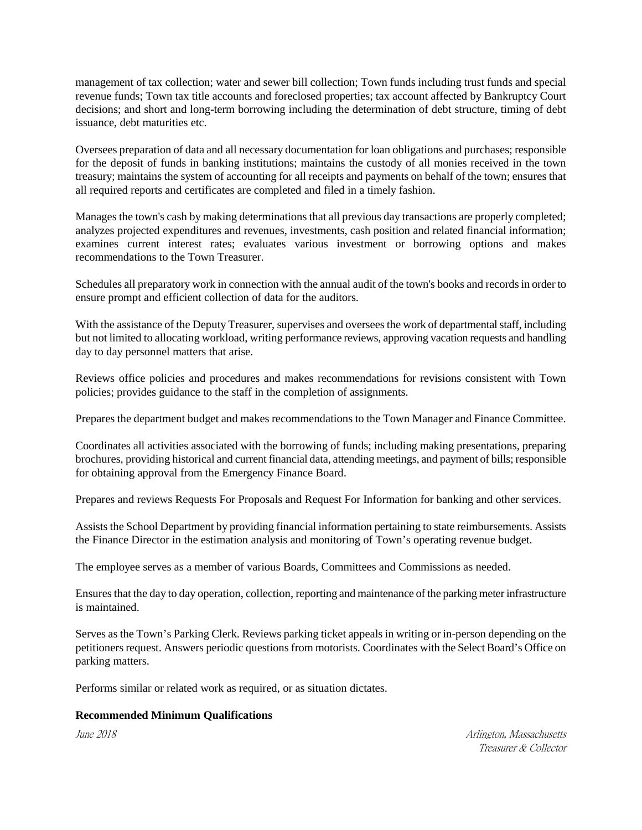management of tax collection; water and sewer bill collection; Town funds including trust funds and special revenue funds; Town tax title accounts and foreclosed properties; tax account affected by Bankruptcy Court decisions; and short and long-term borrowing including the determination of debt structure, timing of debt issuance, debt maturities etc.

Oversees preparation of data and all necessary documentation for loan obligations and purchases; responsible for the deposit of funds in banking institutions; maintains the custody of all monies received in the town treasury; maintains the system of accounting for all receipts and payments on behalf of the town; ensures that all required reports and certificates are completed and filed in a timely fashion.

Manages the town's cash by making determinations that all previous day transactions are properly completed; analyzes projected expenditures and revenues, investments, cash position and related financial information; examines current interest rates; evaluates various investment or borrowing options and makes recommendations to the Town Treasurer.

Schedules all preparatory work in connection with the annual audit of the town's books and records in order to ensure prompt and efficient collection of data for the auditors.

With the assistance of the Deputy Treasurer, supervises and oversees the work of departmental staff, including but not limited to allocating workload, writing performance reviews, approving vacation requests and handling day to day personnel matters that arise.

Reviews office policies and procedures and makes recommendations for revisions consistent with Town policies; provides guidance to the staff in the completion of assignments.

Prepares the department budget and makes recommendations to the Town Manager and Finance Committee.

Coordinates all activities associated with the borrowing of funds; including making presentations, preparing brochures, providing historical and current financial data, attending meetings, and payment of bills; responsible for obtaining approval from the Emergency Finance Board.

Prepares and reviews Requests For Proposals and Request For Information for banking and other services.

Assists the School Department by providing financial information pertaining to state reimbursements. Assists the Finance Director in the estimation analysis and monitoring of Town's operating revenue budget.

The employee serves as a member of various Boards, Committees and Commissions as needed.

Ensuresthat the day to day operation, collection, reporting and maintenance of the parking meter infrastructure is maintained.

Serves as the Town's Parking Clerk. Reviews parking ticket appeals in writing or in-person depending on the petitioners request. Answers periodic questions from motorists. Coordinates with the Select Board's Office on parking matters.

Performs similar or related work as required, or as situation dictates.

# **Recommended Minimum Qualifications**

June 2018 Arlington, Massachusetts Treasurer & Collector